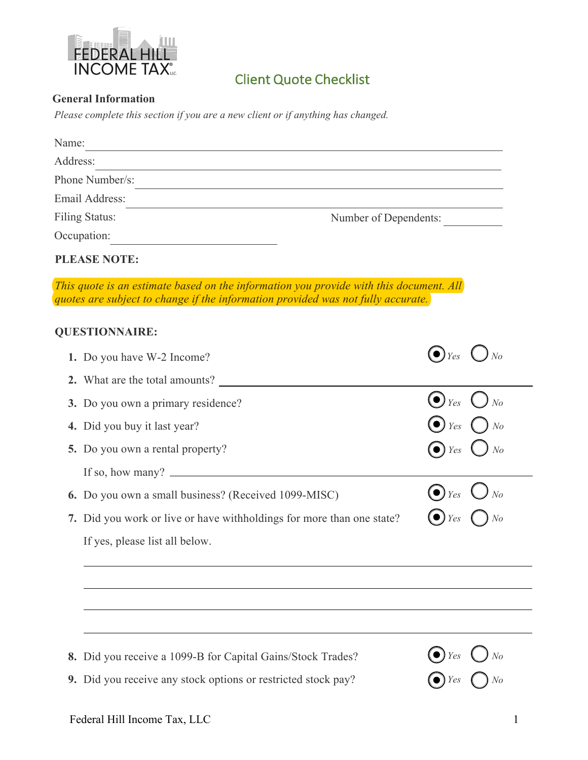

## **Client Quote Checklist**

## **General Information**

*Please complete this section if you are a new client or if anything has changed.*

| Name:                                                                                                                                                                      |                                        |  |  |
|----------------------------------------------------------------------------------------------------------------------------------------------------------------------------|----------------------------------------|--|--|
| Address:                                                                                                                                                                   |                                        |  |  |
| Phone Number/s:                                                                                                                                                            |                                        |  |  |
| Email Address:                                                                                                                                                             |                                        |  |  |
| Filing Status:                                                                                                                                                             | Number of Dependents:                  |  |  |
| Occupation:                                                                                                                                                                |                                        |  |  |
| <b>PLEASE NOTE:</b>                                                                                                                                                        |                                        |  |  |
| This quote is an estimate based on the information you provide with this document. All<br>quotes are subject to change if the information provided was not fully accurate. |                                        |  |  |
| <b>QUESTIONNAIRE:</b>                                                                                                                                                      |                                        |  |  |
| 1. Do you have W-2 Income?                                                                                                                                                 | $\left(\bullet\right)_{Yes}$           |  |  |
| 2. What are the total amounts?                                                                                                                                             |                                        |  |  |
| 3. Do you own a primary residence?                                                                                                                                         | $\left(\bullet\right)_{\mathit{Yes}}$  |  |  |
| 4. Did you buy it last year?                                                                                                                                               | ( $\bullet$ ) $_{Yes}$                 |  |  |
| <b>5.</b> Do you own a rental property?                                                                                                                                    | $\bullet)$ Yes<br>N <sub>o</sub>       |  |  |
| If so, how many? $\qquad \qquad$                                                                                                                                           |                                        |  |  |
| 6. Do you own a small business? (Received 1099-MISC)                                                                                                                       |                                        |  |  |
| 7. Did you work or live or have withholdings for more than one state?                                                                                                      | Yes                                    |  |  |
| If yes, please list all below.                                                                                                                                             |                                        |  |  |
|                                                                                                                                                                            |                                        |  |  |
|                                                                                                                                                                            |                                        |  |  |
|                                                                                                                                                                            |                                        |  |  |
| 8. Did you receive a 1099-B for Capital Gains/Stock Trades?                                                                                                                | $\bigodot$ Yes $\bigodot$<br>$\int$ No |  |  |

**9.** Did you receive any stock options or restricted stock pay?

*Yes No*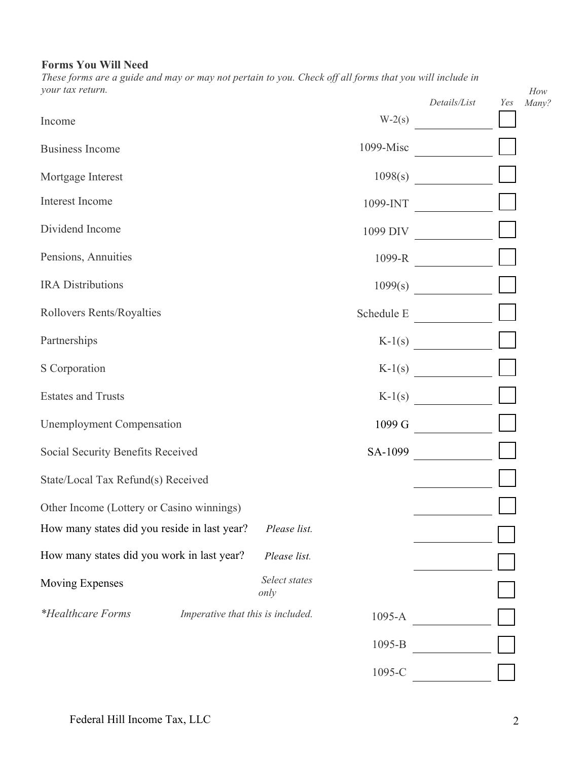## **Forms You Will Need**

*These forms are a guide and may or may not pertain to you. Check off all forms that you will include in your tax return.* 

| your tax return.                             |                                   |             | Details/List     | Yes | How<br>Many? |
|----------------------------------------------|-----------------------------------|-------------|------------------|-----|--------------|
| Income                                       |                                   |             | $W-2(s)$         |     |              |
| <b>Business Income</b>                       |                                   | $1099-Misc$ |                  |     |              |
| Mortgage Interest                            |                                   | 1098(s)     |                  |     |              |
| Interest Income                              |                                   | 1099-INT    |                  |     |              |
| Dividend Income                              |                                   |             | 1099 DIV         |     |              |
| Pensions, Annuities                          |                                   |             | 1099-R           |     |              |
| <b>IRA</b> Distributions                     |                                   |             | 1099(s)          |     |              |
| Rollovers Rents/Royalties                    |                                   |             | Schedule E       |     |              |
| Partnerships                                 |                                   |             | $K-1(s)$         |     |              |
| S Corporation                                |                                   |             | $K-1(s)$         |     |              |
| <b>Estates and Trusts</b>                    |                                   |             | $K-1(s)$         |     |              |
| <b>Unemployment Compensation</b>             |                                   |             | $1099 \text{ G}$ |     |              |
| Social Security Benefits Received            |                                   |             |                  |     |              |
| State/Local Tax Refund(s) Received           |                                   |             |                  |     |              |
| Other Income (Lottery or Casino winnings)    |                                   |             |                  |     |              |
| How many states did you reside in last year? | Please list.                      |             |                  |     |              |
| How many states did you work in last year?   | Please list.                      |             |                  |     |              |
| Moving Expenses                              | Select states<br>only             |             |                  |     |              |
| <i>*Healthcare Forms</i>                     | Imperative that this is included. | 1095-A      |                  |     |              |
|                                              |                                   | 1095-B      |                  |     |              |
|                                              |                                   | 1095-C      |                  |     |              |